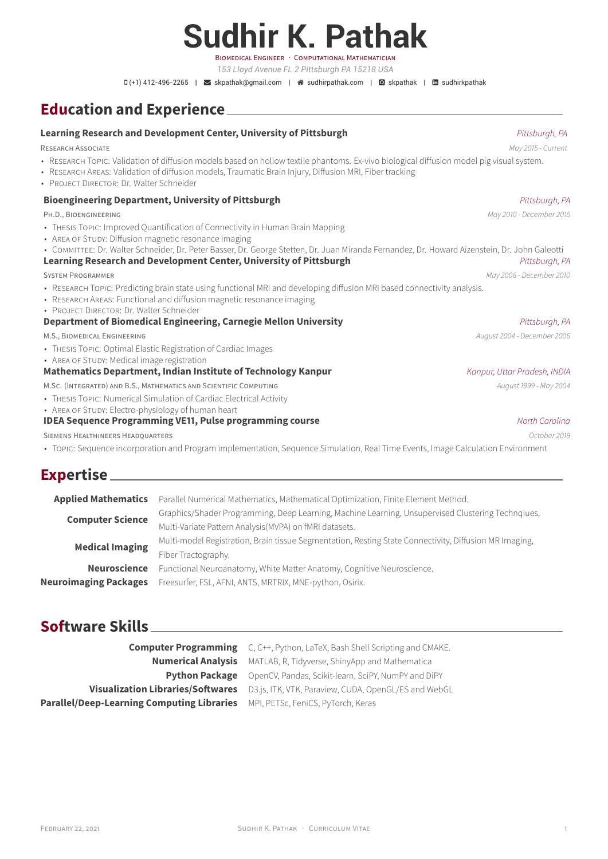## **Sudhir K. Pathak** BIOMEDICAL ENGINEER · COMPUTATIONAL MATHEMATICIAN

*153 Lloyd Avenue FL 2 Pittsburgh PA 15218 USA*

 $\Box$  (+1) 412-496-2265 |  $\Box$  [skpathak@gmail.com](mailto: skpathak@gmail.com) |  $\triangle$  [sudhirpathak.com](http:// sudhirpathak.com) |  $\Box$  [skpathak](https://github.com/ skpathak) |  $\Box$  [sudhirkpathak](https://www.linkedin.com/in/ sudhirkpathak)

## **Education and Experience**

#### **Learning Research and Development Center, University of Pittsburgh Process And Allen Research and Development Center, University of Pittsburgh, PA**

RESEARCH ASSOCIATE May 2015 - Current May 2015 - Current May 2015 - Current

- RESEARCH TOPIC: Validation of diffusion models based on hollow textile phantoms. Ex-vivo biological diffusion model pig visual system.
- RESEARCH AREAS: Validation of diffusion models, Traumatic Brain Injury, Diffusion MRI, Fiber tracking
- PROJECT DIRECTOR: Dr. Walter Schneider

#### **Bioengineering Department, University of Pittsburgh Pittsburgh Pittsburgh, PA Pittsburgh, PA Pittsburgh, PA Pittsburgh, PA Pittsburgh, PA Pittsburgh, PA Pittsburgh, PA Pittsburgh, PA Pittsburgh, PA Pittsburgh, PA Pittsbur**

PH.D., BIOENGINEERING May 2010 - December 2015

- THESIS TOPIC: Improved Quantification of Connectivity in Human Brain Mapping
- AREA OF STUDY: Diffusion magnetic resonance imaging
- COMMITTEE: Dr. Walter Schneider, Dr. Peter Basser, Dr. George Stetten, Dr. Juan Miranda Fernandez, Dr. Howard Aizenstein, Dr. John Galeotti

#### **Learning Research and Development Center, University of Pittsburgh Process And American Pittsburgh, PA**

- RESEARCH TOPIC: Predicting brain state using functional MRI and developing diffusion MRI based connectivity analysis.
- RESEARCH AREAS: Functional and diffusion magnetic resonance imaging
- PROJECT DIRECTOR: Dr. Walter Schneider

#### **Department of Biomedical Engineering, Carnegie Mellon University** Property Research And Pittsburgh, PA

M.S., BIOMEDICAL ENGINEERING **August 2006** - December 2006 - August 2004 - December 2006

- THESIS TOPIC: Optimal Elastic Registration of Cardiac Images
- AREA OF STUDY: Medical image registration

#### **Mathematics Department, Indian Institute of Technology Kanpur** Kanpur, *Kanpur, Uttar Pradesh, INDIA*

M.Sc. (INTEGRATED) AND B.S., MATHEMATICS AND SCIENTIFIC COMPUTING AUGUST 2004 August 1999 - May 2004

- THESIS TOPIC: Numerical Simulation of Cardiac Electrical Activity
- AREA OF STUDY: Electro-physiology of human heart

#### **IDEA Sequence Programming VE11, Pulse programming course** North Carolina North Carolina

SIEMENS HEALTHINEERS HEADQUARTERS **Example 2019** Code Control and Security 2019 of the Control and Security 2019

• TOPIC: Sequence incorporation and Program implementation, Sequence Simulation, Real Time Events, Image Calculation Environment

## **Expertise**

| <b>Applied Mathematics</b>   | Parallel Numerical Mathematics, Mathematical Optimization, Finite Element Method.                      |
|------------------------------|--------------------------------------------------------------------------------------------------------|
| <b>Computer Science</b>      | Graphics/Shader Programming, Deep Learning, Machine Learning, Unsupervised Clustering Technqiues,      |
|                              | Multi-Variate Pattern Analysis (MVPA) on fMRI datasets.                                                |
| <b>Medical Imaging</b>       | Multi-model Registration, Brain tissue Segmentation, Resting State Connectivity, Diffusion MR Imaging, |
|                              | Fiber Tractography.                                                                                    |
| <b>Neuroscience</b>          | Functional Neuroanatomy, White Matter Anatomy, Cognitive Neuroscience.                                 |
| <b>Neuroimaging Packages</b> | Freesurfer, FSL, AFNI, ANTS, MRTRIX, MNE-python, Osirix.                                               |
|                              |                                                                                                        |

## **Software Skills**

**Computer Programming** C, C++, Python, LaTeX, Bash Shell Scripting and CMAKE. **Numerical Analysis** MATLAB, R, Tidyverse, ShinyApp and Mathematica **Python Package** OpenCV, Pandas, Scikit-learn, SciPY, NumPY and DiPY **Visualization Libraries/Softwares** D3.js, ITK, VTK, Paraview, CUDA, OpenGL/ES and WebGL **Parallel/Deep-Learning Computing Libraries** MPI, PETSc, FeniCS, PyTorch, Keras

SYSTEM PROGRAMMER MAY 2006 - December 2010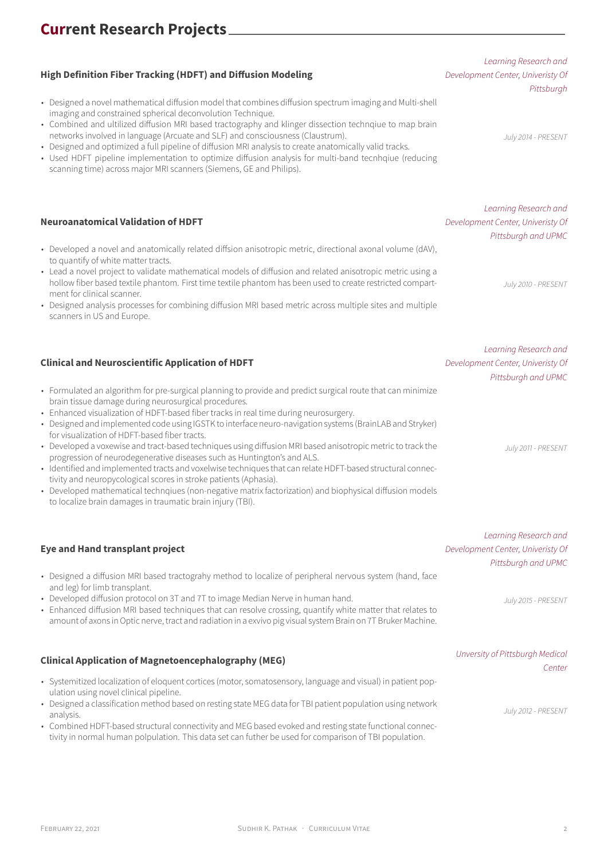## **High Definition Fiber Tracking (HDFT) and Diffusion Modeling**

- Designed a novel mathematical diffusion model that combines diffusion spectrum imaging and Multi-shell imaging and constrained spherical deconvolution Technique.
- Combined and ultilized diffusion MRI based tractography and klinger dissection technqiue to map brain networks involved in language (Arcuate and SLF) and consciousness (Claustrum).
- Designed and optimized a full pipeline of diffusion MRI analysis to create anatomically valid tracks.
- Used HDFT pipeline implementation to optimize diffusion analysis for multi-band tecnhqiue (reducing scanning time) across major MRI scanners (Siemens, GE and Philips).

### **Neuroanatomical Validation of HDFT**

- Developed a novel and anatomically related diffsion anisotropic metric, directional axonal volume (dAV), to quantify of white matter tracts.
- Lead a novel project to validate mathematical models of diffusion and related anisotropic metric using a hollow fiber based textile phantom. First time textile phantom has been used to create restricted compartment for clinical scanner.
- Designed analysis processes for combining diffusion MRI based metric across multiple sites and multiple scanners in US and Europe.

#### **Clinical and Neuroscientific Application of HDFT**

- Formulated an algorithm for pre-surgical planning to provide and predict surgical route that can minimize brain tissue damage during neurosurgical procedures.
- Enhanced visualization of HDFT-based fiber tracks in real time during neurosurgery.
- Designed and implemented code using IGSTK to interface neuro-navigation systems (BrainLAB and Stryker) for visualization of HDFT-based fiber tracts.
- Developed a voxewise and tract-based techniques using diffusion MRI based anisotropic metric to track the progression of neurodegenerative diseases such as Huntington's and ALS.
- Identified and implemented tracts and voxelwise techniques that can relate HDFT-based structural connectivity and neuropycological scores in stroke patients (Aphasia).
- Developed mathematical technqiues (non-negative matrix factorization) and biophysical diffusion models to localize brain damages in traumatic brain injury (TBI).

#### **Eye and Hand transplant project**

- Designed a diffusion MRI based tractograhy method to localize of peripheral nervous system (hand, face and leg) for limb transplant.
- Developed diffusion protocol on 3T and 7T to image Median Nerve in human hand.
- Enhanced diffusion MRI based techniques that can resolve crossing, quantify white matter that relates to amount of axons in Optic nerve, tract and radiation in a exvivo pig visual system Brain on 7T Bruker Machine.

## **Clinical Application of Magnetoencephalography (MEG)** Unversity of Pittsburgh Medical

- Systemitized localization of eloquent cortices (motor, somatosensory, language and visual) in patient population using novel clinical pipeline.
- Designed a classification method based on resting state MEG data for TBI patient population using network analysis.
- Combined HDFT-based structural connectivity and MEG based evoked and resting state functional connectivity in normal human polpulation. This data set can futher be used for comparison of TBI population.

Learning Research and Development Center, Univeristy Of **Pittsburgh** 

July 2014 - PRESENT

Learning Research and Development Center, Univeristy Of Pittsburgh and UPMC

July 2010 - PRESENT

Learning Research and Development Center, Univeristy Of Pittsburgh and UPMC

July 2011 - PRESENT

Learning Research and Development Center, Univeristy Of Pittsburgh and UPMC

July 2015 - PRESENT

# Center

July 2012 - PRESENT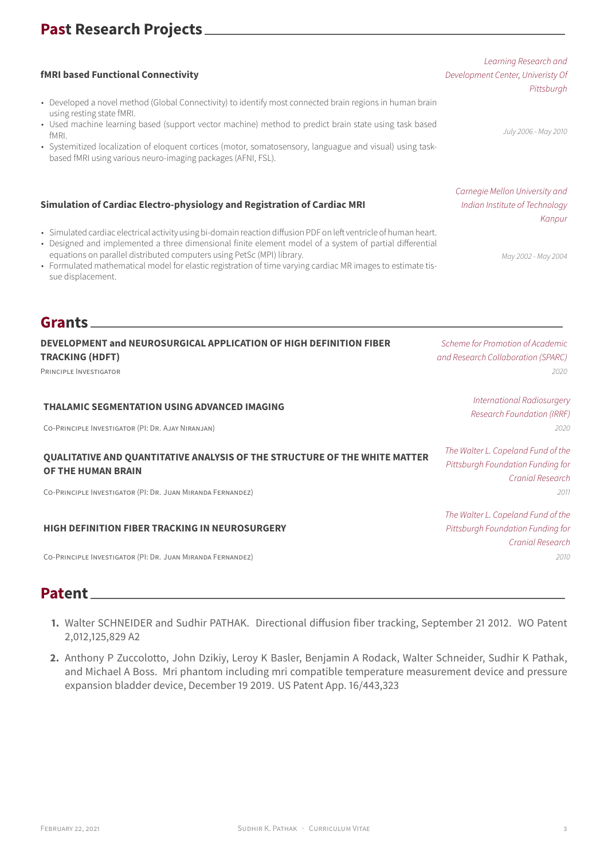## **Past Research Projects**

### **fMRI based Functional Connectivity**

- Developed a novel method (Global Connectivity) to identify most connected brain regions in human brain using resting state fMRI.
- Used machine learning based (support vector machine) method to predict brain state using task based fMRI.
- Systemitized localization of eloquent cortices (motor, somatosensory, languague and visual) using taskbased fMRI using various neuro-imaging packages (AFNI, FSL).

### **Simulation of Cardiac Electro-physiology and Registration of Cardiac MRI**

- Simulated cardiac electrical activity using bi-domain reaction diffusion PDF on left ventricle of human heart.
- Designed and implemented a three dimensional finite element model of a system of partial differential equations on parallel distributed computers using PetSc (MPI) library.
- Formulated mathematical model for elastic registration of time varying cardiac MR images to estimate tissue displacement.

## **Grants**

**DEVELOPMENT and NEUROSURGICAL APPLICATION OF HIGH DEFINITION FIBER TRACKING (HDFT)** Scheme for Promotion of Academic and Research Collaboration (SPARC) PRINCIPLE INVESTIGATOR 2020 **THALAMIC SEGMENTATION USING ADVANCED IMAGING** International Radiosurgery CO-PRINCIPLE INVESTIGATOR (PI: DR. AJAY NIRANJAN) 2020 **QUALITATIVE AND QUANTITATIVE ANALYSIS OF THE STRUCTURE OF THE WHITE MATTER OF THE HUMAN BRAIN** The Walter L. Copeland Fund of the

CO-PRINCIPLE INVESTIGATOR (PI: DR. JUAN MIRANDA FERNANDEZ) 2011

#### **HIGH DEFINITION FIBER TRACKING IN NEUROSURGERY**

CO-PRINCIPLE INVESTIGATOR (PI: DR. JUAN MIRANDA FERNANDEZ) 2010

## **Patent**

- **1.** Walter SCHNEIDER and Sudhir PATHAK. Directional diffusion fiber tracking, September 21 2012. WO Patent 2,012,125,829 A2
- **2.** Anthony P Zuccolotto, John Dzikiy, Leroy K Basler, Benjamin A Rodack, Walter Schneider, Sudhir K Pathak, and Michael A Boss. Mri phantom including mri compatible temperature measurement device and pressure expansion bladder device, December 19 2019. US Patent App. 16/443,323

# **Pittsburgh**

Learning Research and

Development Center, Univeristy Of

July 2006 - May 2010

Carnegie Mellon University and Indian Institute of Technology Kanpur

May 2002 - May 2004

Research Foundation (IRRF)

Pittsburgh Foundation Funding for Cranial Research

The Walter L. Copeland Fund of the Pittsburgh Foundation Funding for Cranial Research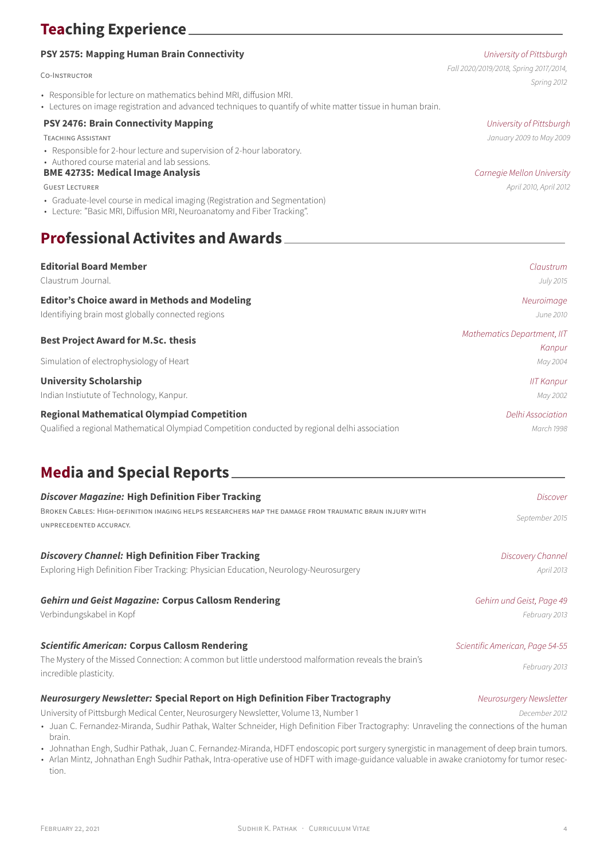## **Teaching Experience**

### **PSY 2575: Mapping Human Brain Connectivity No. 2576: All and State University of Pittsburgh**

#### CO-INSTRUCTOR

- Responsible for lecture on mathematics behind MRI, diffusion MRI.
- Lectures on image registration and advanced techniques to quantify of white matter tissue in human brain.

### **PSY 2476: Brain Connectivity Mapping University of Pittsburgh**

• Responsible for 2-hour lecture and supervision of 2-hour laboratory.

#### • Authored course material and lab sessions.

### **BME 42735: Medical Image Analysis BME 42735: Medical Image Analysis**

GUEST LECTURER April 2010, April 2012

- Graduate-level course in medical imaging (Registration and Segmentation)
- Lecture: "Basic MRI, Diffusion MRI, Neuroanatomy and Fiber Tracking".

## **Professional Activites and Awards**

| <b>Editorial Board Member</b>                                                                  | Claustrum                   |
|------------------------------------------------------------------------------------------------|-----------------------------|
| Claustrum Journal.                                                                             | July 2015                   |
| <b>Editor's Choice award in Methods and Modeling</b>                                           | Neuroimage                  |
| Identifiying brain most globally connected regions                                             | June 2010                   |
| <b>Best Project Award for M.Sc. thesis</b>                                                     | Mathematics Department, IIT |
|                                                                                                | Kanpur                      |
| Simulation of electrophysiology of Heart                                                       | May 2004                    |
| <b>University Scholarship</b>                                                                  | <b>IIT Kanpur</b>           |
| Indian Instiutute of Technology, Kanpur.                                                       | May 2002                    |
| <b>Regional Mathematical Olympiad Competition</b>                                              | Delhi Association           |
| Qualified a regional Mathematical Olympiad Competition conducted by regional delhi association | March 1998                  |

## **Media and Special Reports**

| <b>Discover Magazine: High Definition Fiber Tracking</b>                                                                                                                                                                                                                                                                                                                                  | <b>Discover</b>                 |
|-------------------------------------------------------------------------------------------------------------------------------------------------------------------------------------------------------------------------------------------------------------------------------------------------------------------------------------------------------------------------------------------|---------------------------------|
| BROKEN CABLES: HIGH-DEFINITION IMAGING HELPS RESEARCHERS MAP THE DAMAGE FROM TRAUMATIC BRAIN INJURY WITH<br>UNPRECEDENTED ACCURACY.                                                                                                                                                                                                                                                       | September 2015                  |
| <b>Discovery Channel: High Definition Fiber Tracking</b>                                                                                                                                                                                                                                                                                                                                  | Discovery Channel               |
| Exploring High Definition Fiber Tracking: Physician Education, Neurology-Neurosurgery                                                                                                                                                                                                                                                                                                     | April 2013                      |
| <b>Gehirn und Geist Magazine: Corpus Callosm Rendering</b>                                                                                                                                                                                                                                                                                                                                | Gehirn und Geist, Page 49       |
| Verbindungskabel in Kopf                                                                                                                                                                                                                                                                                                                                                                  | February 2013                   |
| <b>Scientific American: Corpus Callosm Rendering</b>                                                                                                                                                                                                                                                                                                                                      | Scientific American, Page 54-55 |
| The Mystery of the Missed Connection: A common but little understood malformation reveals the brain's<br>incredible plasticity.                                                                                                                                                                                                                                                           | February 2013                   |
| Neurosurgery Newsletter: Special Report on High Definition Fiber Tractography                                                                                                                                                                                                                                                                                                             | Neurosurgery Newsletter         |
| University of Pittsburgh Medical Center, Neurosurgery Newsletter, Volume 13, Number 1                                                                                                                                                                                                                                                                                                     | December 2012                   |
| • Juan C. Fernandez-Miranda, Sudhir Pathak, Walter Schneider, High Definition Fiber Tractography: Unraveling the connections of the human<br>brain.<br>$\epsilon$ is the set of the set of the set of the set of the set of the set of the set of the set of the set of the set of the set of the set of the set of the set of the set of the set of the set of the set of the set of the |                                 |

- Johnathan Engh, Sudhir Pathak, Juan C. Fernandez-Miranda, HDFT endoscopic port surgery synergistic in management of deep brain tumors.
- Arlan Mintz, Johnathan Engh Sudhir Pathak, Intra-operative use of HDFT with image-guidance valuable in awake craniotomy for tumor resection.

Fall 2020/2019/2018, Spring 2017/2014, Spring 2012

TEACHING ASSISTANT **TEACHING ASSISTANT**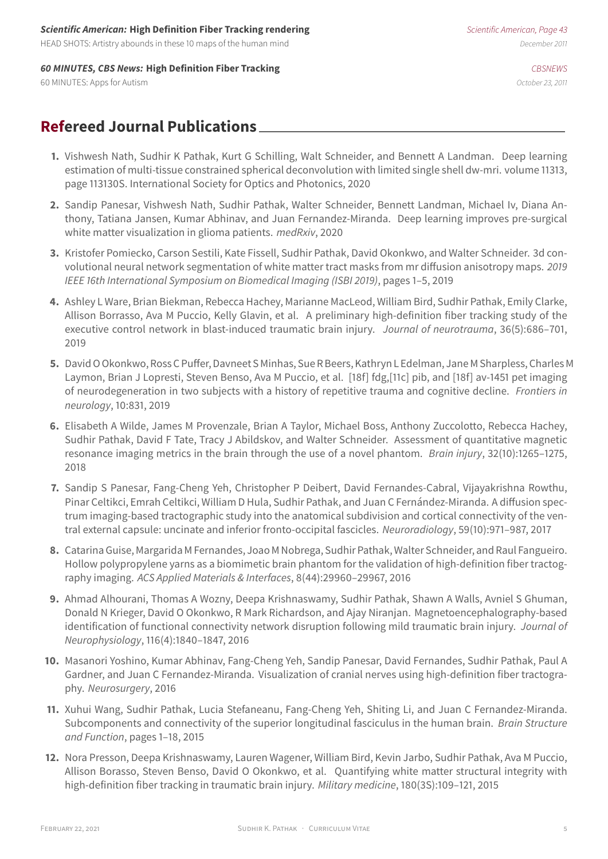#### **Scientific American: High Definition Fiber Tracking rendering** Scientific American, Page 43

HEAD SHOTS: Artistry abounds in these 10 maps of the human mind December 2011

#### **60 MINUTES, CBS News: High Definition Fiber Tracking Cases and Cases of Cases Cases Cases Cases Cases Cases Cases Cases Cases Cases Cases Cases Cases Cases Cases Cases Cases Cases Cases Cases Cases Cases Cases Cases Cases**

60 MINUTES: Apps for Autism October 23, 2011

## **Refereed Journal Publications**

- **1.** Vishwesh Nath, Sudhir K Pathak, Kurt G Schilling, Walt Schneider, and Bennett A Landman. Deep learning estimation of multi-tissue constrained spherical deconvolution with limited single shell dw-mri. volume 11313, page 113130S. International Society for Optics and Photonics, 2020
- **2.** Sandip Panesar, Vishwesh Nath, Sudhir Pathak, Walter Schneider, Bennett Landman, Michael Iv, Diana Anthony, Tatiana Jansen, Kumar Abhinav, and Juan Fernandez-Miranda. Deep learning improves pre-surgical white matter visualization in glioma patients. medRxiv, 2020
- **3.** Kristofer Pomiecko, Carson Sestili, Kate Fissell, Sudhir Pathak, David Okonkwo, and Walter Schneider. 3d convolutional neural network segmentation of white matter tract masks from mr diffusion anisotropy maps. 2019 IEEE 16th International Symposium on Biomedical Imaging (ISBI 2019), pages 1–5, 2019
- **4.** Ashley L Ware, Brian Biekman, Rebecca Hachey, Marianne MacLeod, William Bird, Sudhir Pathak, Emily Clarke, Allison Borrasso, Ava M Puccio, Kelly Glavin, et al. A preliminary high-definition fiber tracking study of the executive control network in blast-induced traumatic brain injury. Journal of neurotrauma, 36(5):686-701, 2019
- **5.** David O Okonkwo, Ross C Puffer, Davneet S Minhas, Sue R Beers, Kathryn L Edelman, Jane M Sharpless, Charles M Laymon, Brian J Lopresti, Steven Benso, Ava M Puccio, et al. [18f] fdg,[11c] pib, and [18f] av-1451 pet imaging of neurodegeneration in two subjects with a history of repetitive trauma and cognitive decline. Frontiers in neurology, 10:831, 2019
- **6.** Elisabeth A Wilde, James M Provenzale, Brian A Taylor, Michael Boss, Anthony Zuccolotto, Rebecca Hachey, Sudhir Pathak, David F Tate, Tracy J Abildskov, and Walter Schneider. Assessment of quantitative magnetic resonance imaging metrics in the brain through the use of a novel phantom. Brain injury, 32(10):1265-1275, 2018
- **7.** Sandip S Panesar, Fang-Cheng Yeh, Christopher P Deibert, David Fernandes-Cabral, Vijayakrishna Rowthu, Pinar Celtikci, Emrah Celtikci, William D Hula, Sudhir Pathak, and Juan C Fernández-Miranda. A diffusion spectrum imaging-based tractographic study into the anatomical subdivision and cortical connectivity of the ventral external capsule: uncinate and inferior fronto-occipital fascicles. Neuroradiology, 59(10):971–987, 2017
- **8.** Catarina Guise, Margarida M Fernandes, Joao M Nobrega, Sudhir Pathak, Walter Schneider, and Raul Fangueiro. Hollow polypropylene yarns as a biomimetic brain phantom for the validation of high-definition fiber tractography imaging. ACS Applied Materials & Interfaces, 8(44):29960–29967, 2016
- **9.** Ahmad Alhourani, Thomas A Wozny, Deepa Krishnaswamy, Sudhir Pathak, Shawn A Walls, Avniel S Ghuman, Donald N Krieger, David O Okonkwo, R Mark Richardson, and Ajay Niranjan. Magnetoencephalography-based identification of functional connectivity network disruption following mild traumatic brain injury. Journal of Neurophysiology, 116(4):1840–1847, 2016
- **10.** Masanori Yoshino, Kumar Abhinav, Fang-Cheng Yeh, Sandip Panesar, David Fernandes, Sudhir Pathak, Paul A Gardner, and Juan C Fernandez-Miranda. Visualization of cranial nerves using high-definition fiber tractography. Neurosurgery, 2016
- **11.** Xuhui Wang, Sudhir Pathak, Lucia Stefaneanu, Fang-Cheng Yeh, Shiting Li, and Juan C Fernandez-Miranda. Subcomponents and connectivity of the superior longitudinal fasciculus in the human brain. Brain Structure and Function, pages 1–18, 2015
- **12.** Nora Presson, Deepa Krishnaswamy, Lauren Wagener, William Bird, Kevin Jarbo, Sudhir Pathak, Ava M Puccio, Allison Borasso, Steven Benso, David O Okonkwo, et al. Quantifying white matter structural integrity with high-definition fiber tracking in traumatic brain injury. Military medicine, 180(3S):109–121, 2015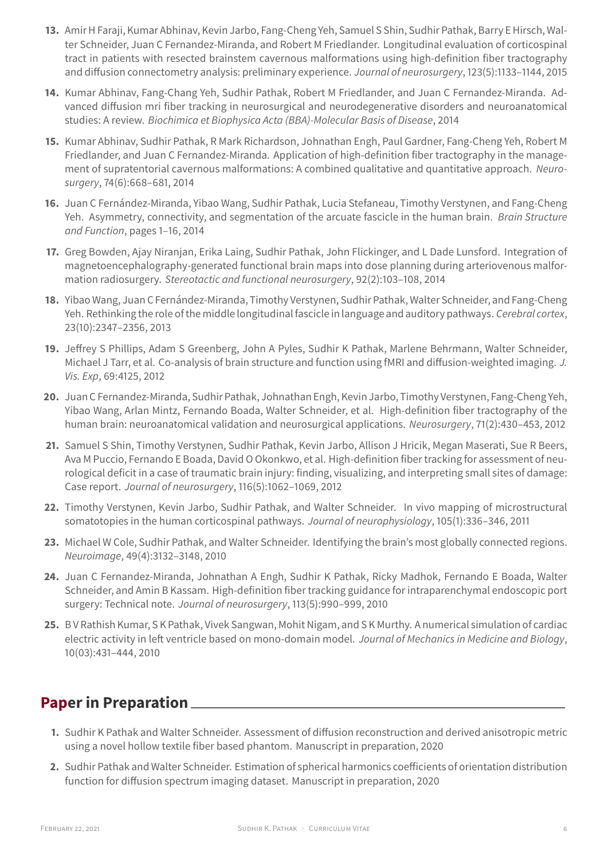- **13.** Amir H Faraji, Kumar Abhinav, Kevin Jarbo, Fang-Cheng Yeh, Samuel S Shin, Sudhir Pathak, Barry E Hirsch, Walter Schneider, Juan C Fernandez-Miranda, and Robert M Friedlander. Longitudinal evaluation of corticospinal tract in patients with resected brainstem cavernous malformations using high-definition fiber tractography and diffusion connectometry analysis: preliminary experience. Journal of neurosurgery, 123(5):1133–1144, 2015
- **14.** Kumar Abhinav, Fang-Chang Yeh, Sudhir Pathak, Robert M Friedlander, and Juan C Fernandez-Miranda. Advanced diffusion mri fiber tracking in neurosurgical and neurodegenerative disorders and neuroanatomical studies: A review. Biochimica et Biophysica Acta (BBA)-Molecular Basis of Disease, 2014
- **15.** Kumar Abhinav, Sudhir Pathak, R Mark Richardson, Johnathan Engh, Paul Gardner, Fang-Cheng Yeh, Robert M Friedlander, and Juan C Fernandez-Miranda. Application of high-definition fiber tractography in the management of supratentorial cavernous malformations: A combined qualitative and quantitative approach. Neurosurgery, 74(6):668–681, 2014
- **16.** Juan C Fernández-Miranda, Yibao Wang, Sudhir Pathak, Lucia Stefaneau, Timothy Verstynen, and Fang-Cheng Yeh. Asymmetry, connectivity, and segmentation of the arcuate fascicle in the human brain. Brain Structure and Function, pages 1–16, 2014
- **17.** Greg Bowden, Ajay Niranjan, Erika Laing, Sudhir Pathak, John Flickinger, and L Dade Lunsford. Integration of magnetoencephalography-generated functional brain maps into dose planning during arteriovenous malformation radiosurgery. Stereotactic and functional neurosurgery, 92(2):103–108, 2014
- **18.** Yibao Wang, Juan C Fernández-Miranda, Timothy Verstynen, Sudhir Pathak, Walter Schneider, and Fang-Cheng Yeh. Rethinking the role of the middle longitudinal fascicle in language and auditory pathways. Cerebral cortex, 23(10):2347–2356, 2013
- **19.** Jeffrey S Phillips, Adam S Greenberg, John A Pyles, Sudhir K Pathak, Marlene Behrmann, Walter Schneider, Michael J Tarr, et al. Co-analysis of brain structure and function using fMRI and diffusion-weighted imaging. J. Vis. Exp, 69:4125, 2012
- **20.** Juan C Fernandez-Miranda, Sudhir Pathak, Johnathan Engh, Kevin Jarbo, Timothy Verstynen, Fang-Cheng Yeh, Yibao Wang, Arlan Mintz, Fernando Boada, Walter Schneider, et al. High-definition fiber tractography of the human brain: neuroanatomical validation and neurosurgical applications. Neurosurgery, 71(2):430–453, 2012
- **21.** Samuel S Shin, Timothy Verstynen, Sudhir Pathak, Kevin Jarbo, Allison J Hricik, Megan Maserati, Sue R Beers, Ava M Puccio, Fernando E Boada, David O Okonkwo, et al. High-definition fiber tracking for assessment of neurological deficit in a case of traumatic brain injury: finding, visualizing, and interpreting small sites of damage: Case report. Journal of neurosurgery, 116(5):1062–1069, 2012
- **22.** Timothy Verstynen, Kevin Jarbo, Sudhir Pathak, and Walter Schneider. In vivo mapping of microstructural somatotopies in the human corticospinal pathways. Journal of neurophysiology, 105(1):336–346, 2011
- **23.** Michael W Cole, Sudhir Pathak, and Walter Schneider. Identifying the brain's most globally connected regions. Neuroimage, 49(4):3132–3148, 2010
- **24.** Juan C Fernandez-Miranda, Johnathan A Engh, Sudhir K Pathak, Ricky Madhok, Fernando E Boada, Walter Schneider, and Amin B Kassam. High-definition fiber tracking guidance for intraparenchymal endoscopic port surgery: Technical note. Journal of neurosurgery, 113(5):990–999, 2010
- **25.** B V Rathish Kumar, S K Pathak, Vivek Sangwan, Mohit Nigam, and S K Murthy. A numerical simulation of cardiac electric activity in left ventricle based on mono-domain model. Journal of Mechanics in Medicine and Biology, 10(03):431–444, 2010

## **Paper in Preparation**

- **1.** Sudhir K Pathak and Walter Schneider. Assessment of diffusion reconstruction and derived anisotropic metric using a novel hollow textile fiber based phantom. Manuscript in preparation, 2020
- **2.** Sudhir Pathak and Walter Schneider. Estimation of spherical harmonics coefficients of orientation distribution function for diffusion spectrum imaging dataset. Manuscript in preparation, 2020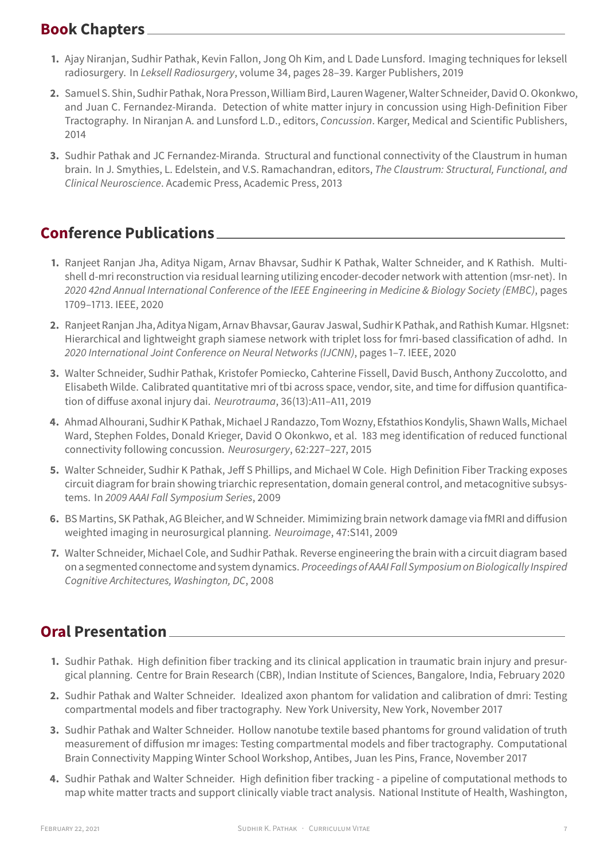## **Book Chapters**

- **1.** Ajay Niranjan, Sudhir Pathak, Kevin Fallon, Jong Oh Kim, and L Dade Lunsford. Imaging techniques for leksell radiosurgery. In Leksell Radiosurgery, volume 34, pages 28–39. Karger Publishers, 2019
- **2.** Samuel S. Shin, Sudhir Pathak, Nora Presson, William Bird, Lauren Wagener, Walter Schneider, David O. Okonkwo, and Juan C. Fernandez-Miranda. Detection of white matter injury in concussion using High-Definition Fiber Tractography. In Niranjan A. and Lunsford L.D., editors, Concussion. Karger, Medical and Scientific Publishers, 2014
- **3.** Sudhir Pathak and JC Fernandez-Miranda. Structural and functional connectivity of the Claustrum in human brain. In J. Smythies, L. Edelstein, and V.S. Ramachandran, editors, The Claustrum: Structural, Functional, and Clinical Neuroscience. Academic Press, Academic Press, 2013

## **Conference Publications**

- **1.** Ranjeet Ranjan Jha, Aditya Nigam, Arnav Bhavsar, Sudhir K Pathak, Walter Schneider, and K Rathish. Multishell d-mri reconstruction via residual learning utilizing encoder-decoder network with attention (msr-net). In 2020 42nd Annual International Conference of the IEEE Engineering in Medicine & Biology Society (EMBC), pages 1709–1713. IEEE, 2020
- **2.** Ranjeet Ranjan Jha, Aditya Nigam, Arnav Bhavsar, Gaurav Jaswal, Sudhir K Pathak, and Rathish Kumar. Hlgsnet: Hierarchical and lightweight graph siamese network with triplet loss for fmri-based classification of adhd. In 2020 International Joint Conference on Neural Networks (IJCNN), pages 1–7. IEEE, 2020
- **3.** Walter Schneider, Sudhir Pathak, Kristofer Pomiecko, Cahterine Fissell, David Busch, Anthony Zuccolotto, and Elisabeth Wilde. Calibrated quantitative mri of tbi across space, vendor, site, and time for diffusion quantification of diffuse axonal injury dai. Neurotrauma, 36(13):A11–A11, 2019
- **4.** Ahmad Alhourani, Sudhir K Pathak, Michael J Randazzo, Tom Wozny, Efstathios Kondylis, Shawn Walls, Michael Ward, Stephen Foldes, Donald Krieger, David O Okonkwo, et al. 183 meg identification of reduced functional connectivity following concussion. Neurosurgery, 62:227–227, 2015
- **5.** Walter Schneider, Sudhir K Pathak, Jeff S Phillips, and Michael W Cole. High Definition Fiber Tracking exposes circuit diagram for brain showing triarchic representation, domain general control, and metacognitive subsystems. In 2009 AAAI Fall Symposium Series, 2009
- **6.** BS Martins, SK Pathak, AG Bleicher, and W Schneider. Mimimizing brain network damage via fMRI and diffusion weighted imaging in neurosurgical planning. Neuroimage, 47:S141, 2009
- **7.** Walter Schneider, Michael Cole, and Sudhir Pathak. Reverse engineering the brain with a circuit diagram based on a segmented connectome and system dynamics. Proceedings of AAAI Fall Symposium on Biologically Inspired Cognitive Architectures, Washington, DC, 2008

## **Oral Presentation**

- **1.** Sudhir Pathak. High definition fiber tracking and its clinical application in traumatic brain injury and presurgical planning. Centre for Brain Research (CBR), Indian Institute of Sciences, Bangalore, India, February 2020
- **2.** Sudhir Pathak and Walter Schneider. Idealized axon phantom for validation and calibration of dmri: Testing compartmental models and fiber tractography. New York University, New York, November 2017
- **3.** Sudhir Pathak and Walter Schneider. Hollow nanotube textile based phantoms for ground validation of truth measurement of diffusion mr images: Testing compartmental models and fiber tractography. Computational Brain Connectivity Mapping Winter School Workshop, Antibes, Juan les Pins, France, November 2017
- **4.** Sudhir Pathak and Walter Schneider. High definition fiber tracking a pipeline of computational methods to map white matter tracts and support clinically viable tract analysis. National Institute of Health, Washington,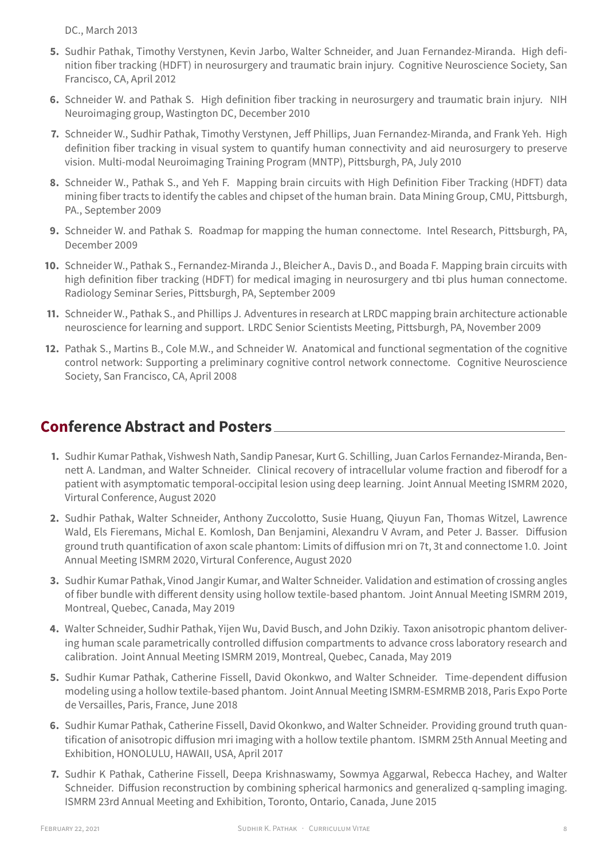DC., March 2013

- **5.** Sudhir Pathak, Timothy Verstynen, Kevin Jarbo, Walter Schneider, and Juan Fernandez-Miranda. High definition fiber tracking (HDFT) in neurosurgery and traumatic brain injury. Cognitive Neuroscience Society, San Francisco, CA, April 2012
- **6.** Schneider W. and Pathak S. High definition fiber tracking in neurosurgery and traumatic brain injury. NIH Neuroimaging group, Wastington DC, December 2010
- **7.** Schneider W., Sudhir Pathak, Timothy Verstynen, Jeff Phillips, Juan Fernandez-Miranda, and Frank Yeh. High definition fiber tracking in visual system to quantify human connectivity and aid neurosurgery to preserve vision. Multi-modal Neuroimaging Training Program (MNTP), Pittsburgh, PA, July 2010
- **8.** Schneider W., Pathak S., and Yeh F. Mapping brain circuits with High Definition Fiber Tracking (HDFT) data mining fiber tracts to identify the cables and chipset of the human brain. Data Mining Group, CMU, Pittsburgh, PA., September 2009
- **9.** Schneider W. and Pathak S. Roadmap for mapping the human connectome. Intel Research, Pittsburgh, PA, December 2009
- **10.** Schneider W., Pathak S., Fernandez-Miranda J., Bleicher A., Davis D., and Boada F. Mapping brain circuits with high definition fiber tracking (HDFT) for medical imaging in neurosurgery and tbi plus human connectome. Radiology Seminar Series, Pittsburgh, PA, September 2009
- **11.** Schneider W., Pathak S., and Phillips J. Adventures in research at LRDC mapping brain architecture actionable neuroscience for learning and support. LRDC Senior Scientists Meeting, Pittsburgh, PA, November 2009
- **12.** Pathak S., Martins B., Cole M.W., and Schneider W. Anatomical and functional segmentation of the cognitive control network: Supporting a preliminary cognitive control network connectome. Cognitive Neuroscience Society, San Francisco, CA, April 2008

## **Conference Abstract and Posters**

- **1.** Sudhir Kumar Pathak, Vishwesh Nath, Sandip Panesar, Kurt G. Schilling, Juan Carlos Fernandez-Miranda, Bennett A. Landman, and Walter Schneider. Clinical recovery of intracellular volume fraction and fiberodf for a patient with asymptomatic temporal-occipital lesion using deep learning. Joint Annual Meeting ISMRM 2020, Virtural Conference, August 2020
- **2.** Sudhir Pathak, Walter Schneider, Anthony Zuccolotto, Susie Huang, Qiuyun Fan, Thomas Witzel, Lawrence Wald, Els Fieremans, Michal E. Komlosh, Dan Benjamini, Alexandru V Avram, and Peter J. Basser. Diffusion ground truth quantification of axon scale phantom: Limits of diffusion mri on 7t, 3t and connectome 1.0. Joint Annual Meeting ISMRM 2020, Virtural Conference, August 2020
- **3.** Sudhir Kumar Pathak, Vinod Jangir Kumar, and Walter Schneider. Validation and estimation of crossing angles of fiber bundle with different density using hollow textile-based phantom. Joint Annual Meeting ISMRM 2019, Montreal, Quebec, Canada, May 2019
- **4.** Walter Schneider, Sudhir Pathak, Yijen Wu, David Busch, and John Dzikiy. Taxon anisotropic phantom delivering human scale parametrically controlled diffusion compartments to advance cross laboratory research and calibration. Joint Annual Meeting ISMRM 2019, Montreal, Quebec, Canada, May 2019
- **5.** Sudhir Kumar Pathak, Catherine Fissell, David Okonkwo, and Walter Schneider. Time-dependent diffusion modeling using a hollow textile-based phantom. Joint Annual Meeting ISMRM-ESMRMB 2018, Paris Expo Porte de Versailles, Paris, France, June 2018
- **6.** Sudhir Kumar Pathak, Catherine Fissell, David Okonkwo, and Walter Schneider. Providing ground truth quantification of anisotropic diffusion mri imaging with a hollow textile phantom. ISMRM 25th Annual Meeting and Exhibition, HONOLULU, HAWAII, USA, April 2017
- **7.** Sudhir K Pathak, Catherine Fissell, Deepa Krishnaswamy, Sowmya Aggarwal, Rebecca Hachey, and Walter Schneider. Diffusion reconstruction by combining spherical harmonics and generalized q-sampling imaging. ISMRM 23rd Annual Meeting and Exhibition, Toronto, Ontario, Canada, June 2015